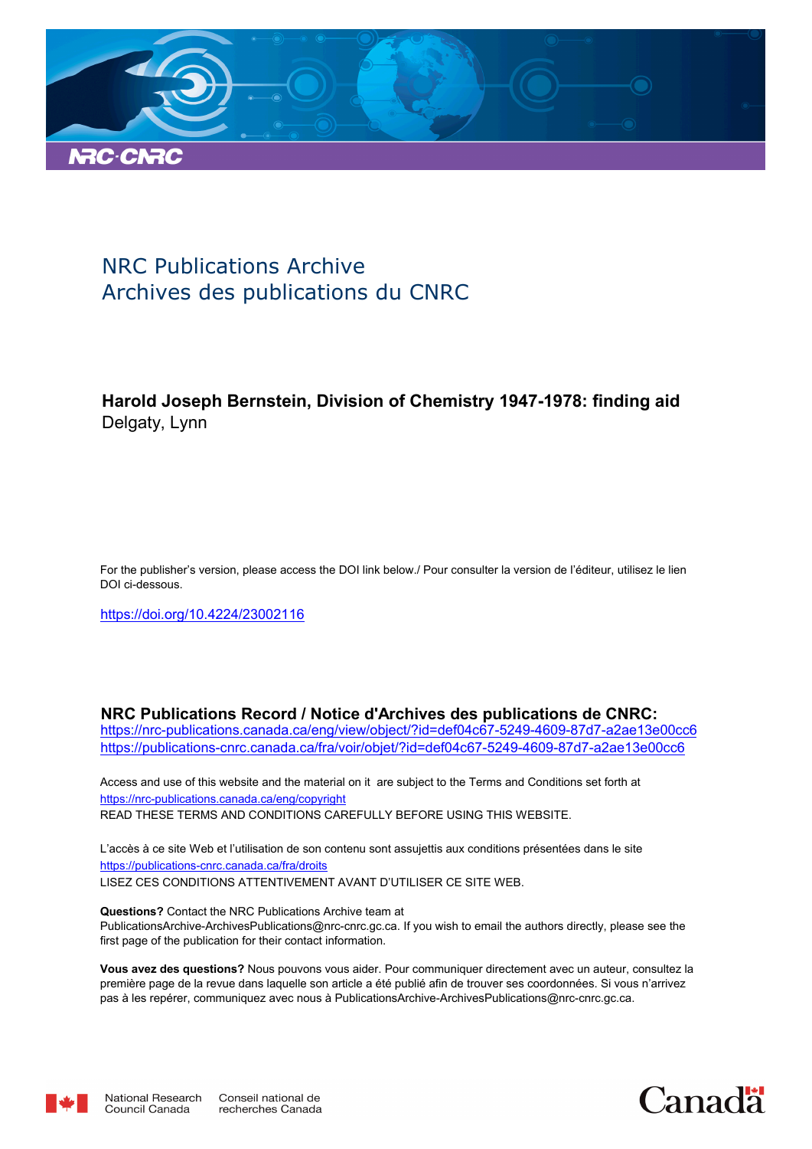

# NRC Publications Archive Archives des publications du CNRC

# **Harold Joseph Bernstein, Division of Chemistry 1947-1978: finding aid** Delgaty, Lynn

For the publisher's version, please access the DOI link below./ Pour consulter la version de l'éditeur, utilisez le lien DOI ci-dessous.

https://doi.org/10.4224/23002116

**NRC Publications Record / Notice d'Archives des publications de CNRC:** https://nrc-publications.canada.ca/eng/view/object/?id=def04c67-5249-4609-87d7-a2ae13e00cc6 https://publications-cnrc.canada.ca/fra/voir/objet/?id=def04c67-5249-4609-87d7-a2ae13e00cc6

READ THESE TERMS AND CONDITIONS CAREFULLY BEFORE USING THIS WEBSITE. https://nrc-publications.canada.ca/eng/copyright Access and use of this website and the material on it are subject to the Terms and Conditions set forth at

https://publications-cnrc.canada.ca/fra/droits L'accès à ce site Web et l'utilisation de son contenu sont assujettis aux conditions présentées dans le site LISEZ CES CONDITIONS ATTENTIVEMENT AVANT D'UTILISER CE SITE WEB.

**Questions?** Contact the NRC Publications Archive team at PublicationsArchive-ArchivesPublications@nrc-cnrc.gc.ca. If you wish to email the authors directly, please see the first page of the publication for their contact information.

**Vous avez des questions?** Nous pouvons vous aider. Pour communiquer directement avec un auteur, consultez la première page de la revue dans laquelle son article a été publié afin de trouver ses coordonnées. Si vous n'arrivez pas à les repérer, communiquez avec nous à PublicationsArchive-ArchivesPublications@nrc-cnrc.gc.ca.



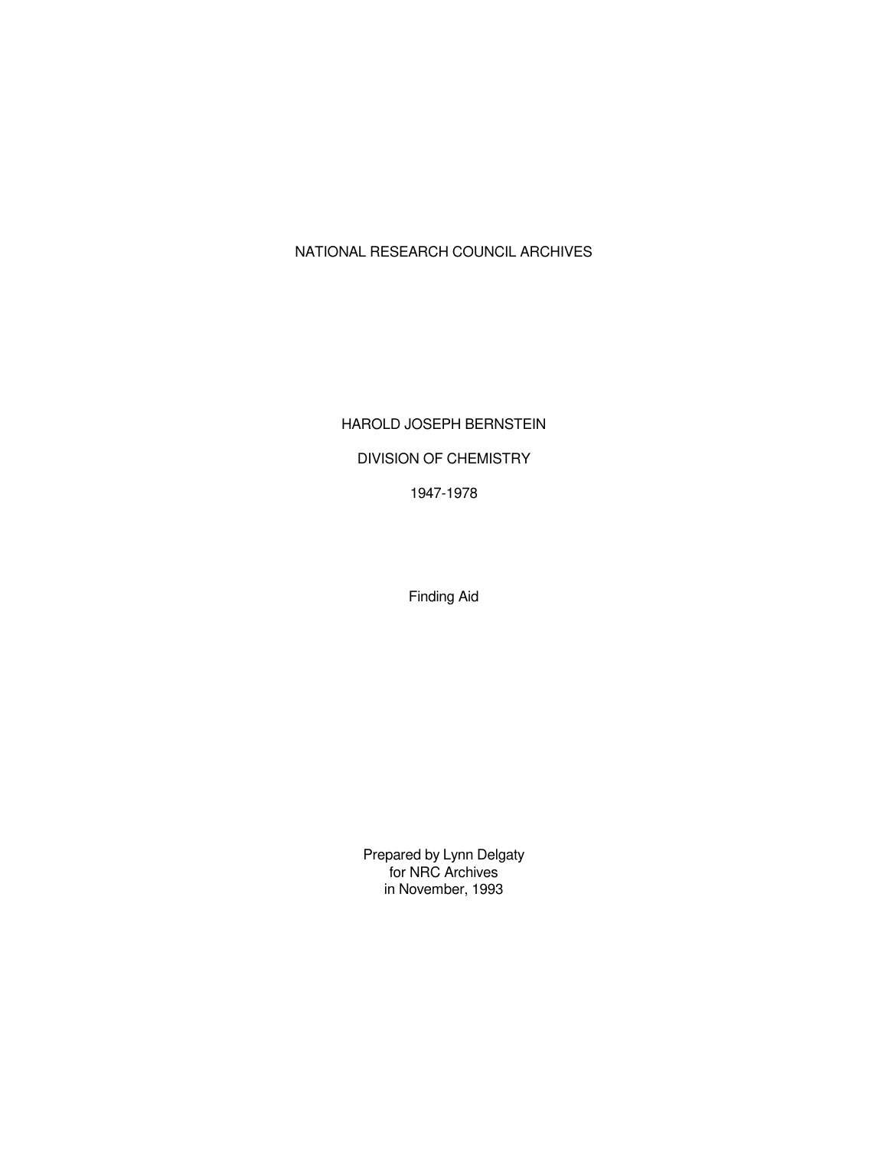## NATIONAL RESEARCH COUNCIL ARCHIVES

## HAROLD JOSEPH BERNSTEIN

## DIVISION OF CHEMISTRY

1947-1978

Finding Aid

Prepared by Lynn Delgaty for NRC Archives in November, 1993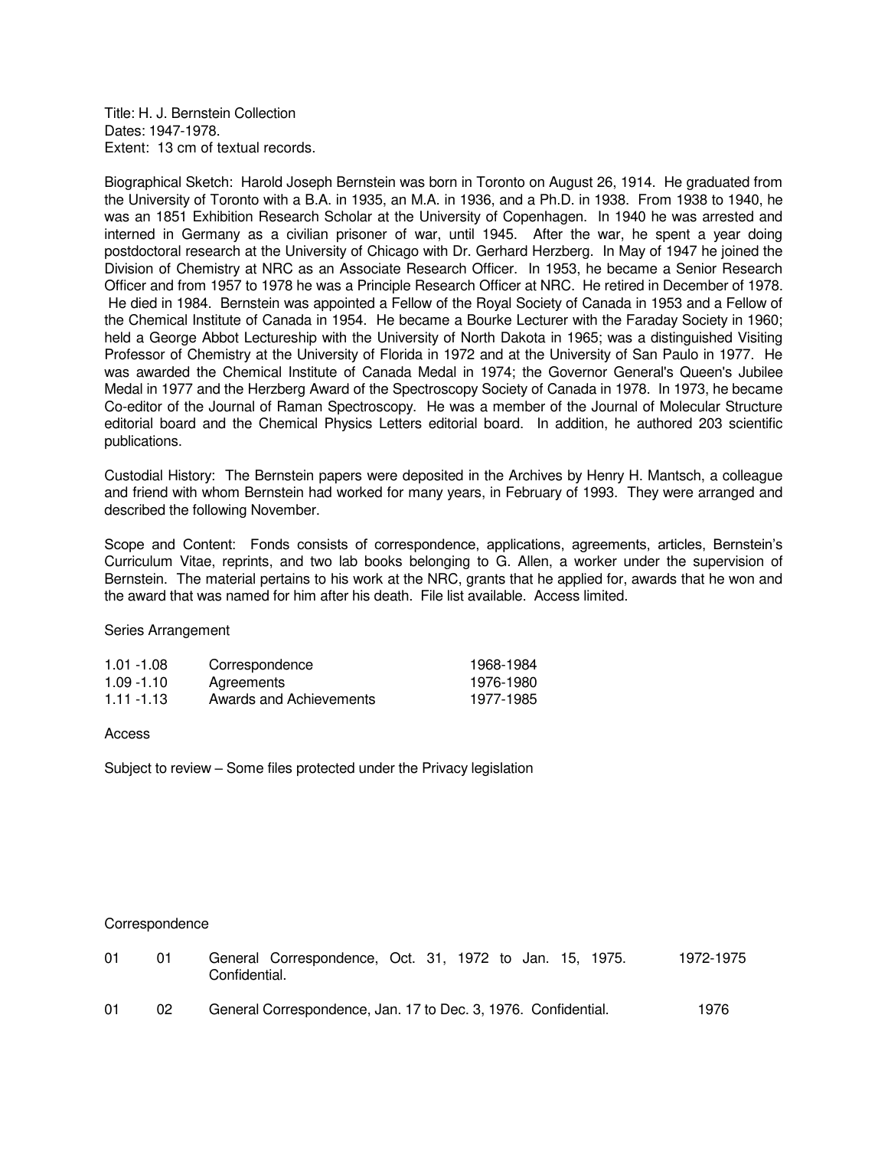Title: H. J. Bernstein Collection Dates: 1947-1978. Extent: 13 cm of textual records.

Biographical Sketch: Harold Joseph Bernstein was born in Toronto on August 26, 1914. He graduated from the University of Toronto with a B.A. in 1935, an M.A. in 1936, and a Ph.D. in 1938. From 1938 to 1940, he was an 1851 Exhibition Research Scholar at the University of Copenhagen. In 1940 he was arrested and interned in Germany as a civilian prisoner of war, until 1945. After the war, he spent a year doing postdoctoral research at the University of Chicago with Dr. Gerhard Herzberg. In May of 1947 he joined the Division of Chemistry at NRC as an Associate Research Officer. In 1953, he became a Senior Research Officer and from 1957 to 1978 he was a Principle Research Officer at NRC. He retired in December of 1978. He died in 1984. Bernstein was appointed a Fellow of the Royal Society of Canada in 1953 and a Fellow of the Chemical Institute of Canada in 1954. He became a Bourke Lecturer with the Faraday Society in 1960; held a George Abbot Lectureship with the University of North Dakota in 1965; was a distinguished Visiting Professor of Chemistry at the University of Florida in 1972 and at the University of San Paulo in 1977. He was awarded the Chemical Institute of Canada Medal in 1974; the Governor General's Queen's Jubilee Medal in 1977 and the Herzberg Award of the Spectroscopy Society of Canada in 1978. In 1973, he became Co-editor of the Journal of Raman Spectroscopy. He was a member of the Journal of Molecular Structure editorial board and the Chemical Physics Letters editorial board. In addition, he authored 203 scientific publications.

Custodial History: The Bernstein papers were deposited in the Archives by Henry H. Mantsch, a colleague and friend with whom Bernstein had worked for many years, in February of 1993. They were arranged and described the following November.

Scope and Content: Fonds consists of correspondence, applications, agreements, articles, Bernstein's Curriculum Vitae, reprints, and two lab books belonging to G. Allen, a worker under the supervision of Bernstein. The material pertains to his work at the NRC, grants that he applied for, awards that he won and the award that was named for him after his death. File list available. Access limited.

#### Series Arrangement

| 1.01 -1.08    | Correspondence          | 1968-1984 |
|---------------|-------------------------|-----------|
| 1.09 -1.10    | Agreements              | 1976-1980 |
| $1.11 - 1.13$ | Awards and Achievements | 1977-1985 |

Access

Subject to review – Some files protected under the Privacy legislation

#### **Correspondence**

| 01 | 01 | General Correspondence, Oct. 31, 1972 to Jan. 15, 1975.<br>Confidential. | 1972-1975 |
|----|----|--------------------------------------------------------------------------|-----------|
| 01 | 02 | General Correspondence, Jan. 17 to Dec. 3, 1976. Confidential.           | 1976      |